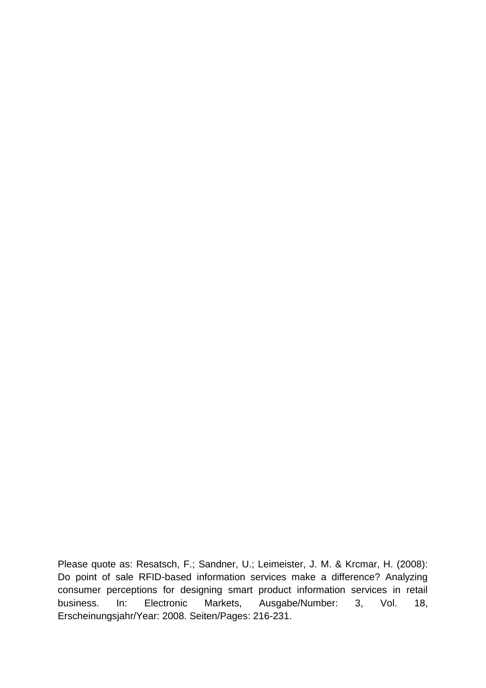Please quote as: Resatsch, F.; Sandner, U.; Leimeister, J. M. & Krcmar, H. (2008): Do point of sale RFID-based information services make a difference? Analyzing consumer perceptions for designing smart product information services in retail business. In: Electronic Markets, Ausgabe/Number: 3, Vol. 18, Erscheinungsjahr/Year: 2008. Seiten/Pages: 216-231.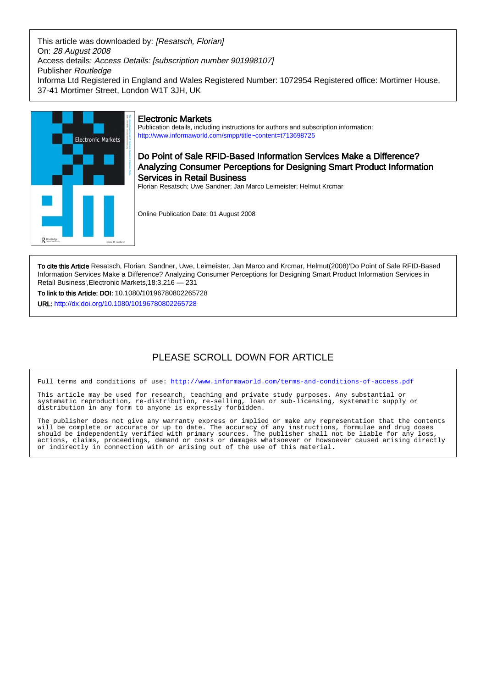This article was downloaded by: [Resatsch, Florian] On: 28 August 2008 Access details: Access Details: [subscription number 901998107] Publisher Routledge Informa Ltd Registered in England and Wales Registered Number: 1072954 Registered office: Mortimer House, 37-41 Mortimer Street, London W1T 3JH, UK



## Electronic Markets

Publication details, including instructions for authors and subscription information: <http://www.informaworld.com/smpp/title~content=t713698725>

# Do Point of Sale RFID-Based Information Services Make a Difference? Analyzing Consumer Perceptions for Designing Smart Product Information Services in Retail Business

Florian Resatsch; Uwe Sandner; Jan Marco Leimeister; Helmut Krcmar

Online Publication Date: 01 August 2008

To cite this Article Resatsch, Florian, Sandner, Uwe, Leimeister, Jan Marco and Krcmar, Helmut(2008)'Do Point of Sale RFID-Based Information Services Make a Difference? Analyzing Consumer Perceptions for Designing Smart Product Information Services in Retail Business',Electronic Markets,18:3,216 — 231

To link to this Article: DOI: 10.1080/10196780802265728

URL: <http://dx.doi.org/10.1080/10196780802265728>

# PLEASE SCROLL DOWN FOR ARTICLE

Full terms and conditions of use:<http://www.informaworld.com/terms-and-conditions-of-access.pdf>

This article may be used for research, teaching and private study purposes. Any substantial or systematic reproduction, re-distribution, re-selling, loan or sub-licensing, systematic supply or distribution in any form to anyone is expressly forbidden.

The publisher does not give any warranty express or implied or make any representation that the contents will be complete or accurate or up to date. The accuracy of any instructions, formulae and drug doses should be independently verified with primary sources. The publisher shall not be liable for any loss, actions, claims, proceedings, demand or costs or damages whatsoever or howsoever caused arising directly or indirectly in connection with or arising out of the use of this material.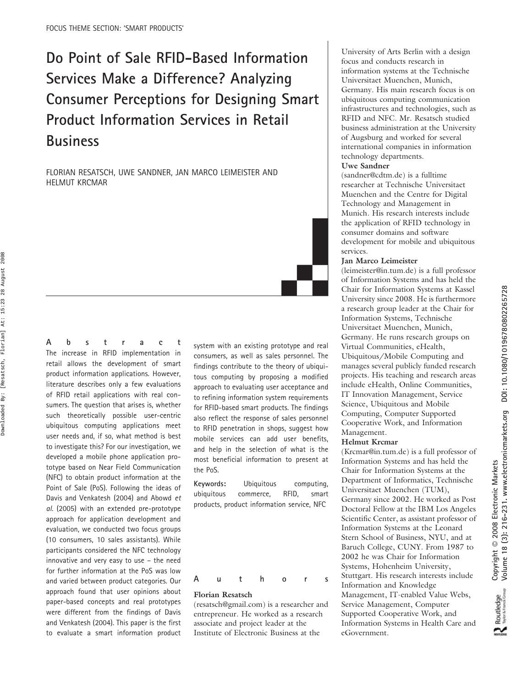# Do Point of Sale RFID-Based Information Services Make a Difference? Analyzing Consumer Perceptions for Designing Smart Product Information Services in Retail **Business**

FLORIAN RESATSCH, UWE SANDNER, JAN MARCO LEIMEISTER AND HELMUT KRCMAR



Abstract The increase in RFID implementation in retail allows the development of smart product information applications. However, literature describes only a few evaluations of RFID retail applications with real consumers. The question that arises is, whether such theoretically possible user-centric ubiquitous computing applications meet user needs and, if so, what method is best to investigate this? For our investigation, we developed a mobile phone application prototype based on Near Field Communication (NFC) to obtain product information at the Point of Sale (PoS). Following the ideas of Davis and Venkatesh (2004) and Abowd et al. (2005) with an extended pre-prototype approach for application development and evaluation, we conducted two focus groups (10 consumers, 10 sales assistants). While participants considered the NFC technology innovative and very easy to use – the need for further information at the PoS was low and varied between product categories. Our approach found that user opinions about paper-based concepts and real prototypes were different from the findings of Davis and Venkatesh (2004). This paper is the first to evaluate a smart information product

system with an existing prototype and real consumers, as well as sales personnel. The findings contribute to the theory of ubiquitous computing by proposing a modified approach to evaluating user acceptance and to refining information system requirements for RFID-based smart products. The findings also reflect the response of sales personnel to RFID penetration in shops, suggest how mobile services can add user benefits, and help in the selection of what is the most beneficial information to present at the PoS.

Keywords: Ubiquitous computing, ubiquitous commerce, RFID, smart products, product information service, NFC

# Authors

#### Florian Resatsch

(resatsch@gmail.com) is a researcher and entrepreneur. He worked as a research associate and project leader at the Institute of Electronic Business at the

University of Arts Berlin with a design focus and conducts research in information systems at the Technische Universitaet Muenchen, Munich, Germany. His main research focus is on ubiquitous computing communication infrastructures and technologies, such as RFID and NFC. Mr. Resatsch studied business administration at the University of Augsburg and worked for several international companies in information technology departments. Uwe Sandner

(sandner@cdtm.de) is a fulltime researcher at Technische Universitaet Muenchen and the Centre for Digital Technology and Management in Munich. His research interests include the application of RFID technology in consumer domains and software development for mobile and ubiquitous services.

#### Jan Marco Leimeister

(leimeister@in.tum.de) is a full professor of Information Systems and has held the Chair for Information Systems at Kassel University since 2008. He is furthermore a research group leader at the Chair for Information Systems, Technische Universitaet Muenchen, Munich, Germany. He runs research groups on Virtual Communities, eHealth, Ubiquitous/Mobile Computing and manages several publicly funded research projects. His teaching and research areas include eHealth, Online Communities, IT Innovation Management, Service Science, Ubiquitous and Mobile Computing, Computer Supported Cooperative Work, and Information Management.

#### Helmut Krcmar

(Krcmar@in.tum.de) is a full professor of Information Systems and has held the Chair for Information Systems at the Department of Informatics, Technische Universitaet Muenchen (TUM), Germany since 2002. He worked as Post Doctoral Fellow at the IBM Los Angeles Scientific Center, as assistant professor of Information Systems at the Leonard Stern School of Business, NYU, and at Baruch College, CUNY. From 1987 to 2002 he was Chair for Information Systems, Hohenheim University, Stuttgart. His research interests include Information and Knowledge Management, IT-enabled Value Webs, Service Management, Computer Supported Cooperative Work, and Information Systems in Health Care and eGovernment.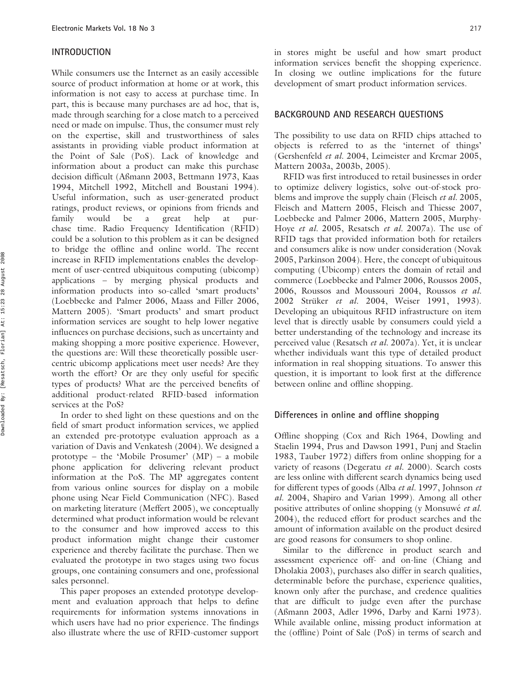#### INTRODUCTION

While consumers use the Internet as an easily accessible source of product information at home or at work, this information is not easy to access at purchase time. In part, this is because many purchases are ad hoc, that is, made through searching for a close match to a perceived need or made on impulse. Thus, the consumer must rely on the expertise, skill and trustworthiness of sales assistants in providing viable product information at the Point of Sale (PoS). Lack of knowledge and information about a product can make this purchase decision difficult (Aßmann 2003, Bettmann 1973, Kaas 1994, Mitchell 1992, Mitchell and Boustani 1994). Useful information, such as user-generated product ratings, product reviews, or opinions from friends and family would be a great help at purchase time. Radio Frequency Identification (RFID) could be a solution to this problem as it can be designed to bridge the offline and online world. The recent increase in RFID implementations enables the development of user-centred ubiquitous computing (ubicomp) applications – by merging physical products and information products into so-called 'smart products' (Loebbecke and Palmer 2006, Maass and Filler 2006, Mattern 2005). 'Smart products' and smart product information services are sought to help lower negative influences on purchase decisions, such as uncertainty and making shopping a more positive experience. However, the questions are: Will these theoretically possible usercentric ubicomp applications meet user needs? Are they worth the effort? Or are they only useful for specific types of products? What are the perceived benefits of additional product-related RFID-based information services at the PoS?

In order to shed light on these questions and on the field of smart product information services, we applied an extended pre-prototype evaluation approach as a variation of Davis and Venkatesh (2004). We designed a prototype – the 'Mobile Prosumer' (MP) – a mobile phone application for delivering relevant product information at the PoS. The MP aggregates content from various online sources for display on a mobile phone using Near Field Communication (NFC). Based on marketing literature (Meffert 2005), we conceptually determined what product information would be relevant to the consumer and how improved access to this product information might change their customer experience and thereby facilitate the purchase. Then we evaluated the prototype in two stages using two focus groups, one containing consumers and one, professional sales personnel.

This paper proposes an extended prototype development and evaluation approach that helps to define requirements for information systems innovations in which users have had no prior experience. The findings also illustrate where the use of RFID-customer support in stores might be useful and how smart product information services benefit the shopping experience. In closing we outline implications for the future development of smart product information services.

#### BACKGROUND AND RESEARCH QUESTIONS

The possibility to use data on RFID chips attached to objects is referred to as the 'internet of things' (Gershenfeld et al. 2004, Leimeister and Krcmar 2005, Mattern 2003a, 2003b, 2005).

RFID was first introduced to retail businesses in order to optimize delivery logistics, solve out-of-stock problems and improve the supply chain (Fleisch et al. 2005, Fleisch and Mattern 2005, Fleisch and Thiesse 2007, Loebbecke and Palmer 2006, Mattern 2005, Murphy-Hoye et al. 2005, Resatsch et al. 2007a). The use of RFID tags that provided information both for retailers and consumers alike is now under consideration (Novak 2005, Parkinson 2004). Here, the concept of ubiquitous computing (Ubicomp) enters the domain of retail and commerce (Loebbecke and Palmer 2006, Roussos 2005, 2006, Roussos and Moussouri 2004, Roussos et al. 2002 Strüker et al. 2004, Weiser 1991, 1993). Developing an ubiquitous RFID infrastructure on item level that is directly usable by consumers could yield a better understanding of the technology and increase its perceived value (Resatsch et al. 2007a). Yet, it is unclear whether individuals want this type of detailed product information in real shopping situations. To answer this question, it is important to look first at the difference between online and offline shopping.

#### Differences in online and offline shopping

Offline shopping (Cox and Rich 1964, Dowling and Staelin 1994, Prus and Dawson 1991, Punj and Staelin 1983, Tauber 1972) differs from online shopping for a variety of reasons (Degeratu et al. 2000). Search costs are less online with different search dynamics being used for different types of goods (Alba et al. 1997, Johnson et al. 2004, Shapiro and Varian 1999). Among all other positive attributes of online shopping (y Monsuwé et al. 2004), the reduced effort for product searches and the amount of information available on the product desired are good reasons for consumers to shop online.

Similar to the difference in product search and assessment experience off- and on-line (Chiang and Dholakia 2003), purchases also differ in search qualities, determinable before the purchase, experience qualities, known only after the purchase, and credence qualities that are difficult to judge even after the purchase (Aßmann 2003, Adler 1996, Darby and Karni 1973). While available online, missing product information at the (offline) Point of Sale (PoS) in terms of search and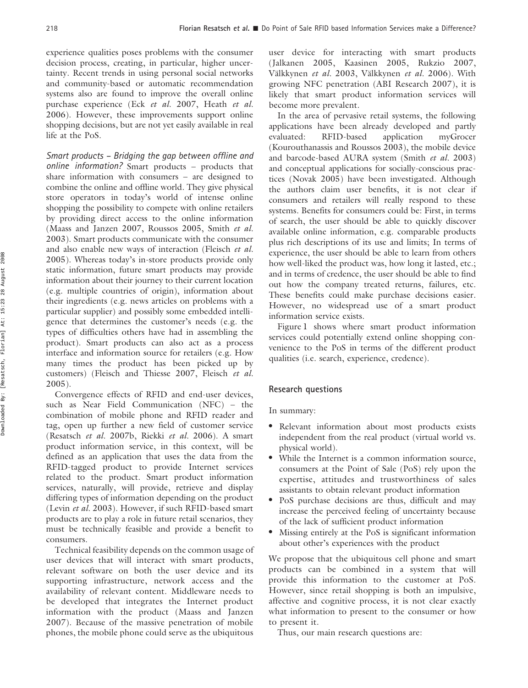experience qualities poses problems with the consumer decision process, creating, in particular, higher uncertainty. Recent trends in using personal social networks and community-based or automatic recommendation systems also are found to improve the overall online purchase experience (Eck et al. 2007, Heath et al. 2006). However, these improvements support online shopping decisions, but are not yet easily available in real life at the PoS.

Smart products – Bridging the gap between offline and online information? Smart products – products that share information with consumers – are designed to combine the online and offline world. They give physical store operators in today's world of intense online shopping the possibility to compete with online retailers by providing direct access to the online information (Maass and Janzen 2007, Roussos 2005, Smith et al. 2003). Smart products communicate with the consumer and also enable new ways of interaction (Fleisch et al. 2005). Whereas today's in-store products provide only static information, future smart products may provide information about their journey to their current location (e.g. multiple countries of origin), information about their ingredients (e.g. news articles on problems with a particular supplier) and possibly some embedded intelligence that determines the customer's needs (e.g. the types of difficulties others have had in assembling the product). Smart products can also act as a process interface and information source for retailers (e.g. How many times the product has been picked up by customers) (Fleisch and Thiesse 2007, Fleisch et al. 2005).

Convergence effects of RFID and end-user devices, such as Near Field Communication (NFC) – the combination of mobile phone and RFID reader and tag, open up further a new field of customer service (Resatsch et al. 2007b, Riekki et al. 2006). A smart product information service, in this context, will be defined as an application that uses the data from the RFID-tagged product to provide Internet services related to the product. Smart product information services, naturally, will provide, retrieve and display differing types of information depending on the product (Levin et al. 2003). However, if such RFID-based smart products are to play a role in future retail scenarios, they must be technically feasible and provide a benefit to consumers.

Technical feasibility depends on the common usage of user devices that will interact with smart products, relevant software on both the user device and its supporting infrastructure, network access and the availability of relevant content. Middleware needs to be developed that integrates the Internet product information with the product (Maass and Janzen 2007). Because of the massive penetration of mobile phones, the mobile phone could serve as the ubiquitous

user device for interacting with smart products (Jalkanen 2005, Kaasinen 2005, Rukzio 2007, Välkkynen et al. 2003, Välkkynen et al. 2006). With growing NFC penetration (ABI Research 2007), it is likely that smart product information services will become more prevalent.

In the area of pervasive retail systems, the following applications have been already developed and partly evaluated: RFID-based application myGrocer (Kourouthanassis and Roussos 2003), the mobile device and barcode-based AURA system (Smith et al. 2003) and conceptual applications for socially-conscious practices (Novak 2005) have been investigated. Although the authors claim user benefits, it is not clear if consumers and retailers will really respond to these systems. Benefits for consumers could be: First, in terms of search, the user should be able to quickly discover available online information, e.g. comparable products plus rich descriptions of its use and limits; In terms of experience, the user should be able to learn from others how well-liked the product was, how long it lasted, etc.; and in terms of credence, the user should be able to find out how the company treated returns, failures, etc. These benefits could make purchase decisions easier. However, no widespread use of a smart product information service exists.

Figure 1 shows where smart product information services could potentially extend online shopping convenience to the PoS in terms of the different product qualities (i.e. search, experience, credence).

## Research questions

In summary:

- Relevant information about most products exists independent from the real product (virtual world vs. physical world).
- While the Internet is a common information source, consumers at the Point of Sale (PoS) rely upon the expertise, attitudes and trustworthiness of sales assistants to obtain relevant product information
- PoS purchase decisions are thus, difficult and may increase the perceived feeling of uncertainty because of the lack of sufficient product information
- Missing entirely at the PoS is significant information about other's experiences with the product

We propose that the ubiquitous cell phone and smart products can be combined in a system that will provide this information to the customer at PoS. However, since retail shopping is both an impulsive, affective and cognitive process, it is not clear exactly what information to present to the consumer or how to present it.

Thus, our main research questions are: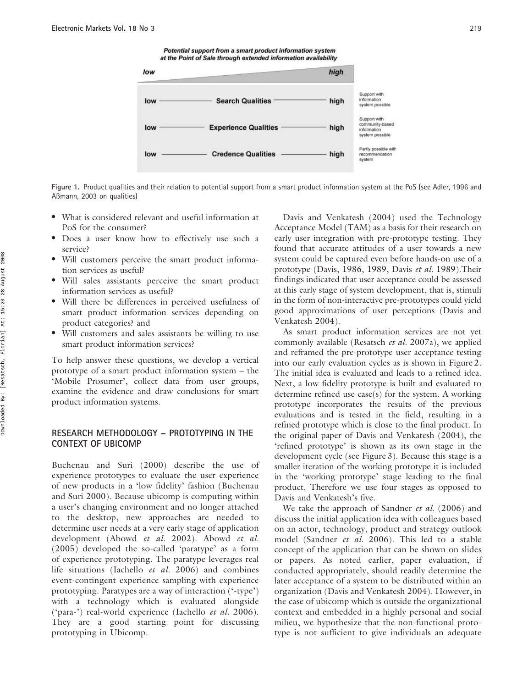Potential support from a smart product information system at the Point of Sale through extended information availability



Figure 1. Product qualities and their relation to potential support from a smart product information system at the PoS (see Adler, 1996 and Aßmann, 2003 on qualities)

- What is considered relevant and useful information at PoS for the consumer?
- Does a user know how to effectively use such a service?
- Will customers perceive the smart product information services as useful?
- Will sales assistants perceive the smart product information services as useful?
- Will there be differences in perceived usefulness of smart product information services depending on product categories? and
- Will customers and sales assistants be willing to use smart product information services?

To help answer these questions, we develop a vertical prototype of a smart product information system – the 'Mobile Prosumer', collect data from user groups, examine the evidence and draw conclusions for smart product information systems.

## RESEARCH METHODOLOGY – PROTOTYPING IN THE CONTEXT OF UBICOMP

Buchenau and Suri (2000) describe the use of experience prototypes to evaluate the user experience of new products in a 'low fidelity' fashion (Buchenau and Suri 2000). Because ubicomp is computing within a user's changing environment and no longer attached to the desktop, new approaches are needed to determine user needs at a very early stage of application development (Abowd et al. 2002). Abowd et al. (2005) developed the so-called 'paratype' as a form of experience prototyping. The paratype leverages real life situations (Iachello  $et$  al. 2006) and combines event-contingent experience sampling with experience prototyping. Paratypes are a way of interaction ('-type') with a technology which is evaluated alongside ('para-') real-world experience (Iachello et al. 2006). They are a good starting point for discussing prototyping in Ubicomp.

Davis and Venkatesh (2004) used the Technology Acceptance Model (TAM) as a basis for their research on early user integration with pre-prototype testing. They found that accurate attitudes of a user towards a new system could be captured even before hands-on use of a prototype (Davis, 1986, 1989, Davis et al. 1989). Their findings indicated that user acceptance could be assessed at this early stage of system development, that is, stimuli in the form of non-interactive pre-prototypes could yield good approximations of user perceptions (Davis and Venkatesh 2004).

As smart product information services are not yet commonly available (Resatsch et al. 2007a), we applied and reframed the pre-prototype user acceptance testing into our early evaluation cycles as is shown in Figure 2. The initial idea is evaluated and leads to a refined idea. Next, a low fidelity prototype is built and evaluated to determine refined use case(s) for the system. A working prototype incorporates the results of the previous evaluations and is tested in the field, resulting in a refined prototype which is close to the final product. In the original paper of Davis and Venkatesh (2004), the 'refined prototype' is shown as its own stage in the development cycle (see Figure 3). Because this stage is a smaller iteration of the working prototype it is included in the 'working prototype' stage leading to the final product. Therefore we use four stages as opposed to Davis and Venkatesh's five.

We take the approach of Sandner *et al.* (2006) and discuss the initial application idea with colleagues based on an actor, technology, product and strategy outlook model (Sandner et al. 2006). This led to a stable concept of the application that can be shown on slides or papers. As noted earlier, paper evaluation, if conducted appropriately, should readily determine the later acceptance of a system to be distributed within an organization (Davis and Venkatesh 2004). However, in the case of ubicomp which is outside the organizational context and embedded in a highly personal and social milieu, we hypothesize that the non-functional prototype is not sufficient to give individuals an adequate

2008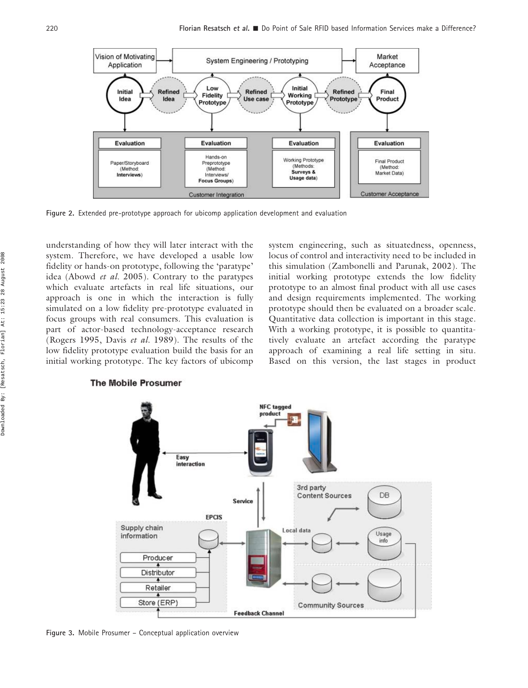

Figure 2. Extended pre-prototype approach for ubicomp application development and evaluation

understanding of how they will later interact with the system. Therefore, we have developed a usable low fidelity or hands-on prototype, following the 'paratype' idea (Abowd et al. 2005). Contrary to the paratypes which evaluate artefacts in real life situations, our approach is one in which the interaction is fully simulated on a low fidelity pre-prototype evaluated in focus groups with real consumers. This evaluation is part of actor-based technology-acceptance research (Rogers 1995, Davis et al. 1989). The results of the low fidelity prototype evaluation build the basis for an initial working prototype. The key factors of ubicomp

**The Mobile Prosumer** 

system engineering, such as situatedness, openness, locus of control and interactivity need to be included in this simulation (Zambonelli and Parunak, 2002). The initial working prototype extends the low fidelity prototype to an almost final product with all use cases and design requirements implemented. The working prototype should then be evaluated on a broader scale. Quantitative data collection is important in this stage. With a working prototype, it is possible to quantitatively evaluate an artefact according the paratype approach of examining a real life setting in situ. Based on this version, the last stages in product



Figure 3. Mobile Prosumer – Conceptual application overview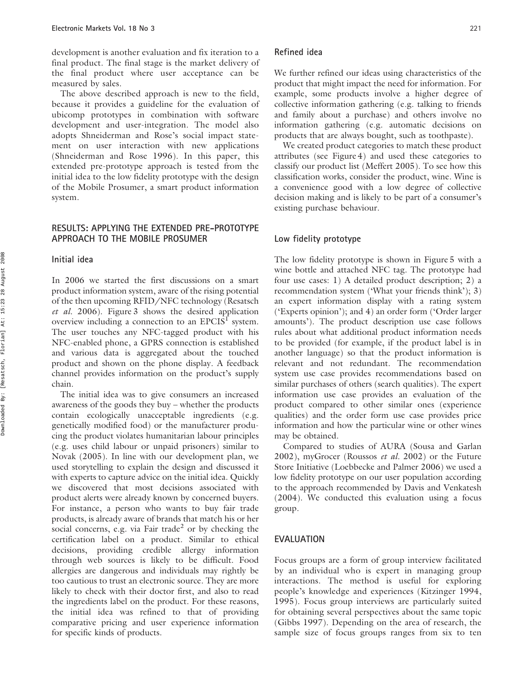development is another evaluation and fix iteration to a final product. The final stage is the market delivery of the final product where user acceptance can be measured by sales.

The above described approach is new to the field, because it provides a guideline for the evaluation of ubicomp prototypes in combination with software development and user-integration. The model also adopts Shneiderman and Rose's social impact statement on user interaction with new applications (Shneiderman and Rose 1996). In this paper, this extended pre-prototype approach is tested from the initial idea to the low fidelity prototype with the design of the Mobile Prosumer, a smart product information system.

## RESULTS: APPLYING THE EXTENDED PRE-PROTOTYPE APPROACH TO THE MOBILE PROSUMER

#### Initial idea

In 2006 we started the first discussions on a smart product information system, aware of the rising potential of the then upcoming RFID/NFC technology (Resatsch et al. 2006). Figure 3 shows the desired application overview including a connection to an  $EPCIS<sup>1</sup>$  system. The user touches any NFC-tagged product with his NFC-enabled phone, a GPRS connection is established and various data is aggregated about the touched product and shown on the phone display. A feedback channel provides information on the product's supply chain.

The initial idea was to give consumers an increased awareness of the goods they buy – whether the products contain ecologically unacceptable ingredients (e.g. genetically modified food) or the manufacturer producing the product violates humanitarian labour principles (e.g. uses child labour or unpaid prisoners) similar to Novak (2005). In line with our development plan, we used storytelling to explain the design and discussed it with experts to capture advice on the initial idea. Quickly we discovered that most decisions associated with product alerts were already known by concerned buyers. For instance, a person who wants to buy fair trade products, is already aware of brands that match his or her social concerns, e.g. via Fair trade<sup>2</sup> or by checking the certification label on a product. Similar to ethical decisions, providing credible allergy information through web sources is likely to be difficult. Food allergies are dangerous and individuals may rightly be too cautious to trust an electronic source. They are more likely to check with their doctor first, and also to read the ingredients label on the product. For these reasons, the initial idea was refined to that of providing comparative pricing and user experience information for specific kinds of products.

## Refined idea

We further refined our ideas using characteristics of the product that might impact the need for information. For example, some products involve a higher degree of collective information gathering (e.g. talking to friends and family about a purchase) and others involve no information gathering (e.g. automatic decisions on products that are always bought, such as toothpaste).

We created product categories to match these product attributes (see Figure 4) and used these categories to classify our product list (Meffert 2005). To see how this classification works, consider the product, wine. Wine is a convenience good with a low degree of collective decision making and is likely to be part of a consumer's existing purchase behaviour.

## Low fidelity prototype

The low fidelity prototype is shown in Figure 5 with a wine bottle and attached NFC tag. The prototype had four use cases: 1) A detailed product description; 2) a recommendation system ('What your friends think'); 3) an expert information display with a rating system ('Experts opinion'); and 4) an order form ('Order larger amounts'). The product description use case follows rules about what additional product information needs to be provided (for example, if the product label is in another language) so that the product information is relevant and not redundant. The recommendation system use case provides recommendations based on similar purchases of others (search qualities). The expert information use case provides an evaluation of the product compared to other similar ones (experience qualities) and the order form use case provides price information and how the particular wine or other wines may be obtained.

Compared to studies of AURA (Sousa and Garlan 2002), myGrocer (Roussos et al. 2002) or the Future Store Initiative (Loebbecke and Palmer 2006) we used a low fidelity prototype on our user population according to the approach recommended by Davis and Venkatesh (2004). We conducted this evaluation using a focus group.

#### EVALUATION

Focus groups are a form of group interview facilitated by an individual who is expert in managing group interactions. The method is useful for exploring people's knowledge and experiences (Kitzinger 1994, 1995). Focus group interviews are particularly suited for obtaining several perspectives about the same topic (Gibbs 1997). Depending on the area of research, the sample size of focus groups ranges from six to ten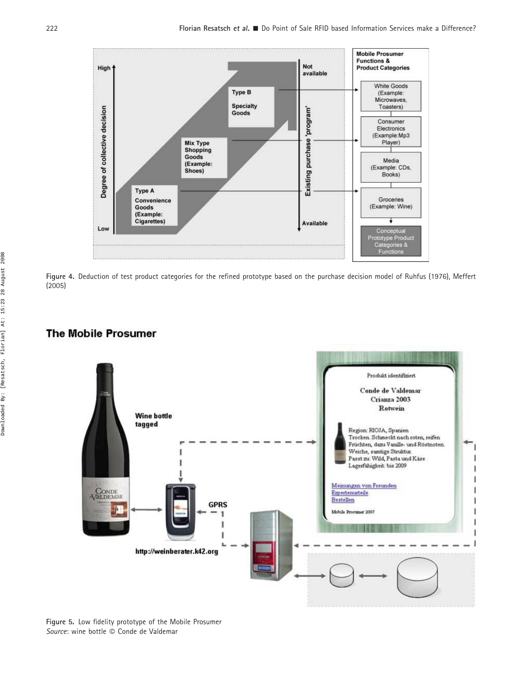

Figure 4. Deduction of test product categories for the refined prototype based on the purchase decision model of Ruhfus (1976), Meffert (2005)

## **The Mobile Prosumer**



Figure 5. Low fidelity prototype of the Mobile Prosumer Source: wine bottle © Conde de Valdemar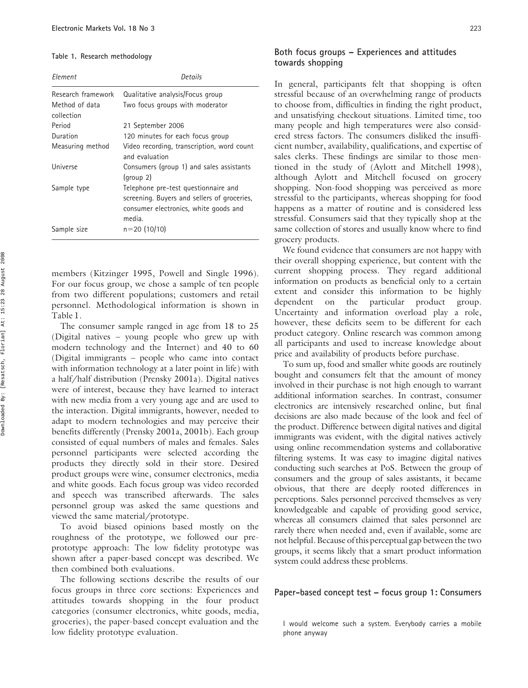#### Table 1. Research methodology

| Flement                      | Details                                                                                                                                |
|------------------------------|----------------------------------------------------------------------------------------------------------------------------------------|
| Research framework           | Qualitative analysis/Focus group                                                                                                       |
| Method of data<br>collection | Two focus groups with moderator                                                                                                        |
| Period                       | 21 September 2006                                                                                                                      |
| Duration                     | 120 minutes for each focus group                                                                                                       |
| Measuring method             | Video recording, transcription, word count<br>and evaluation                                                                           |
| Universe                     | Consumers (group 1) and sales assistants<br>$(\text{group } 2)$                                                                        |
| Sample type                  | Telephone pre-test questionnaire and<br>screening. Buyers and sellers of groceries,<br>consumer electronics, white goods and<br>media. |
| Sample size                  | $n = 20$ (10/10)                                                                                                                       |

members (Kitzinger 1995, Powell and Single 1996). For our focus group, we chose a sample of ten people from two different populations; customers and retail personnel. Methodological information is shown in Table 1.

The consumer sample ranged in age from 18 to 25 (Digital natives – young people who grew up with modern technology and the Internet) and 40 to 60 (Digital immigrants – people who came into contact with information technology at a later point in life) with a half/half distribution (Prensky 2001a). Digital natives were of interest, because they have learned to interact with new media from a very young age and are used to the interaction. Digital immigrants, however, needed to adapt to modern technologies and may perceive their benefits differently (Prensky 2001a, 2001b). Each group consisted of equal numbers of males and females. Sales personnel participants were selected according the products they directly sold in their store. Desired product groups were wine, consumer electronics, media and white goods. Each focus group was video recorded and speech was transcribed afterwards. The sales personnel group was asked the same questions and viewed the same material/prototype.

To avoid biased opinions based mostly on the roughness of the prototype, we followed our preprototype approach: The low fidelity prototype was shown after a paper-based concept was described. We then combined both evaluations.

The following sections describe the results of our focus groups in three core sections: Experiences and attitudes towards shopping in the four product categories (consumer electronics, white goods, media, groceries), the paper-based concept evaluation and the low fidelity prototype evaluation.

## Both focus groups – Experiences and attitudes towards shopping

In general, participants felt that shopping is often stressful because of an overwhelming range of products to choose from, difficulties in finding the right product, and unsatisfying checkout situations. Limited time, too many people and high temperatures were also considered stress factors. The consumers disliked the insufficient number, availability, qualifications, and expertise of sales clerks. These findings are similar to those mentioned in the study of (Aylott and Mitchell 1998), although Aylott and Mitchell focused on grocery shopping. Non-food shopping was perceived as more stressful to the participants, whereas shopping for food happens as a matter of routine and is considered less stressful. Consumers said that they typically shop at the same collection of stores and usually know where to find grocery products.

We found evidence that consumers are not happy with their overall shopping experience, but content with the current shopping process. They regard additional information on products as beneficial only to a certain extent and consider this information to be highly dependent on the particular product group. Uncertainty and information overload play a role, however, these deficits seem to be different for each product category. Online research was common among all participants and used to increase knowledge about price and availability of products before purchase.

To sum up, food and smaller white goods are routinely bought and consumers felt that the amount of money involved in their purchase is not high enough to warrant additional information searches. In contrast, consumer electronics are intensively researched online, but final decisions are also made because of the look and feel of the product. Difference between digital natives and digital immigrants was evident, with the digital natives actively using online recommendation systems and collaborative filtering systems. It was easy to imagine digital natives conducting such searches at PoS. Between the group of consumers and the group of sales assistants, it became obvious, that there are deeply rooted differences in perceptions. Sales personnel perceived themselves as very knowledgeable and capable of providing good service, whereas all consumers claimed that sales personnel are rarely there when needed and, even if available, some are not helpful. Because of this perceptual gap between the two groups, it seems likely that a smart product information system could address these problems.

#### Paper-based concept test – focus group 1: Consumers

I would welcome such a system. Everybody carries a mobile phone anyway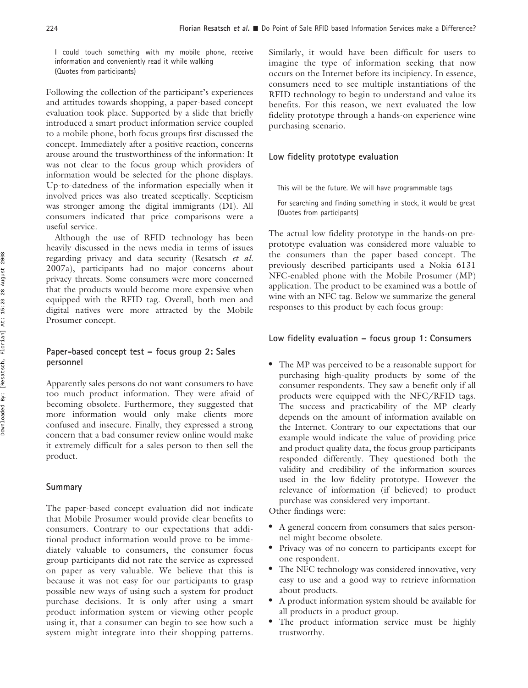I could touch something with my mobile phone, receive information and conveniently read it while walking (Quotes from participants)

Following the collection of the participant's experiences and attitudes towards shopping, a paper-based concept evaluation took place. Supported by a slide that briefly introduced a smart product information service coupled to a mobile phone, both focus groups first discussed the concept. Immediately after a positive reaction, concerns arouse around the trustworthiness of the information: It was not clear to the focus group which providers of information would be selected for the phone displays. Up-to-datedness of the information especially when it involved prices was also treated sceptically. Scepticism was stronger among the digital immigrants (DI). All consumers indicated that price comparisons were a useful service.

Although the use of RFID technology has been heavily discussed in the news media in terms of issues regarding privacy and data security (Resatsch et al. 2007a), participants had no major concerns about privacy threats. Some consumers were more concerned that the products would become more expensive when equipped with the RFID tag. Overall, both men and digital natives were more attracted by the Mobile Prosumer concept.

## Paper-based concept test – focus group 2: Sales personnel

Apparently sales persons do not want consumers to have too much product information. They were afraid of becoming obsolete. Furthermore, they suggested that more information would only make clients more confused and insecure. Finally, they expressed a strong concern that a bad consumer review online would make it extremely difficult for a sales person to then sell the product.

#### Summary

The paper-based concept evaluation did not indicate that Mobile Prosumer would provide clear benefits to consumers. Contrary to our expectations that additional product information would prove to be immediately valuable to consumers, the consumer focus group participants did not rate the service as expressed on paper as very valuable. We believe that this is because it was not easy for our participants to grasp possible new ways of using such a system for product purchase decisions. It is only after using a smart product information system or viewing other people using it, that a consumer can begin to see how such a system might integrate into their shopping patterns.

Similarly, it would have been difficult for users to imagine the type of information seeking that now occurs on the Internet before its incipiency. In essence, consumers need to see multiple instantiations of the RFID technology to begin to understand and value its benefits. For this reason, we next evaluated the low fidelity prototype through a hands-on experience wine purchasing scenario.

#### Low fidelity prototype evaluation

This will be the future. We will have programmable tags

For searching and finding something in stock, it would be great (Quotes from participants)

The actual low fidelity prototype in the hands-on preprototype evaluation was considered more valuable to the consumers than the paper based concept. The previously described participants used a Nokia 6131 NFC-enabled phone with the Mobile Prosumer (MP) application. The product to be examined was a bottle of wine with an NFC tag. Below we summarize the general responses to this product by each focus group:

#### Low fidelity evaluation – focus group 1: Consumers

• The MP was perceived to be a reasonable support for purchasing high-quality products by some of the consumer respondents. They saw a benefit only if all products were equipped with the NFC/RFID tags. The success and practicability of the MP clearly depends on the amount of information available on the Internet. Contrary to our expectations that our example would indicate the value of providing price and product quality data, the focus group participants responded differently. They questioned both the validity and credibility of the information sources used in the low fidelity prototype. However the relevance of information (if believed) to product purchase was considered very important.

Other findings were:

- A general concern from consumers that sales personnel might become obsolete.
- Privacy was of no concern to participants except for one respondent.
- The NFC technology was considered innovative, very easy to use and a good way to retrieve information about products.
- N A product information system should be available for all products in a product group.
- The product information service must be highly trustworthy.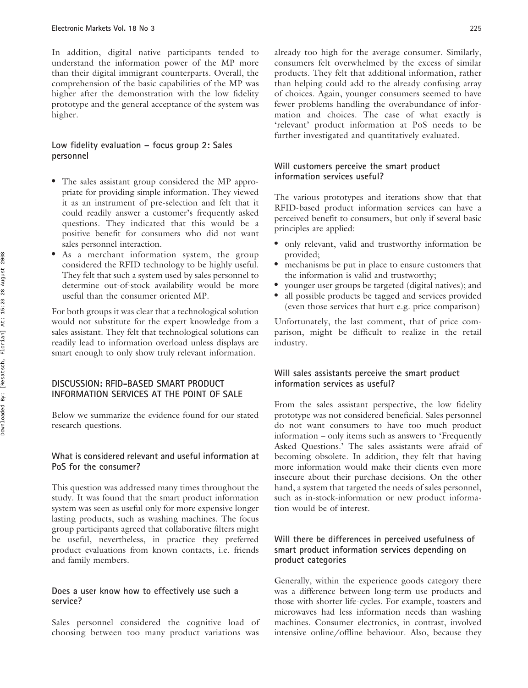In addition, digital native participants tended to understand the information power of the MP more than their digital immigrant counterparts. Overall, the comprehension of the basic capabilities of the MP was higher after the demonstration with the low fidelity prototype and the general acceptance of the system was higher.

## Low fidelity evaluation – focus group 2: Sales personnel

- The sales assistant group considered the MP appropriate for providing simple information. They viewed it as an instrument of pre-selection and felt that it could readily answer a customer's frequently asked questions. They indicated that this would be a positive benefit for consumers who did not want sales personnel interaction.
- As a merchant information system, the group considered the RFID technology to be highly useful. They felt that such a system used by sales personnel to determine out-of-stock availability would be more useful than the consumer oriented MP.

For both groups it was clear that a technological solution would not substitute for the expert knowledge from a sales assistant. They felt that technological solutions can readily lead to information overload unless displays are smart enough to only show truly relevant information.

## DISCUSSION: RFID-BASED SMART PRODUCT INFORMATION SERVICES AT THE POINT OF SALE

Below we summarize the evidence found for our stated research questions.

## What is considered relevant and useful information at PoS for the consumer?

This question was addressed many times throughout the study. It was found that the smart product information system was seen as useful only for more expensive longer lasting products, such as washing machines. The focus group participants agreed that collaborative filters might be useful, nevertheless, in practice they preferred product evaluations from known contacts, i.e. friends and family members.

## Does a user know how to effectively use such a service?

Sales personnel considered the cognitive load of choosing between too many product variations was already too high for the average consumer. Similarly, consumers felt overwhelmed by the excess of similar products. They felt that additional information, rather than helping could add to the already confusing array of choices. Again, younger consumers seemed to have fewer problems handling the overabundance of information and choices. The case of what exactly is 'relevant' product information at PoS needs to be further investigated and quantitatively evaluated.

#### Will customers perceive the smart product information services useful?

The various prototypes and iterations show that that RFID-based product information services can have a perceived benefit to consumers, but only if several basic principles are applied:

- only relevant, valid and trustworthy information be provided;
- mechanisms be put in place to ensure customers that the information is valid and trustworthy;
- younger user groups be targeted (digital natives); and
- all possible products be tagged and services provided (even those services that hurt e.g. price comparison)

Unfortunately, the last comment, that of price comparison, might be difficult to realize in the retail industry.

## Will sales assistants perceive the smart product information services as useful?

From the sales assistant perspective, the low fidelity prototype was not considered beneficial. Sales personnel do not want consumers to have too much product information – only items such as answers to 'Frequently Asked Questions.' The sales assistants were afraid of becoming obsolete. In addition, they felt that having more information would make their clients even more insecure about their purchase decisions. On the other hand, a system that targeted the needs of sales personnel, such as in-stock-information or new product information would be of interest.

## Will there be differences in perceived usefulness of smart product information services depending on product categories

Generally, within the experience goods category there was a difference between long-term use products and those with shorter life-cycles. For example, toasters and microwaves had less information needs than washing machines. Consumer electronics, in contrast, involved intensive online/offline behaviour. Also, because they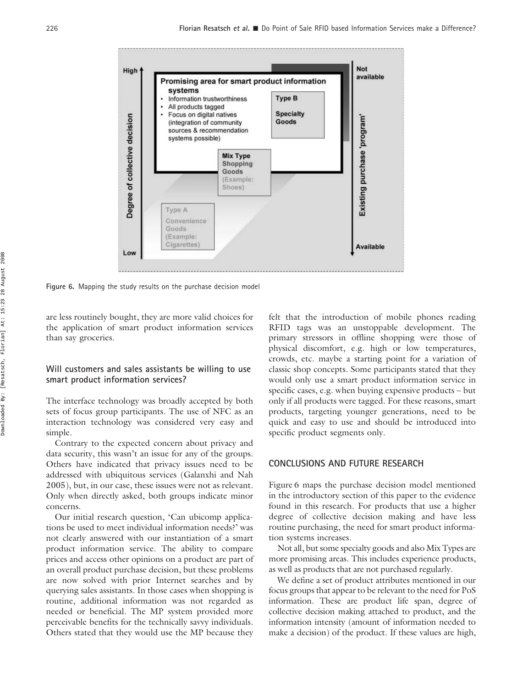

Figure 6. Mapping the study results on the purchase decision model

are less routinely bought, they are more valid choices for the application of smart product information services than say groceries.

## Will customers and sales assistants be willing to use smart product information services?

The interface technology was broadly accepted by both sets of focus group participants. The use of NFC as an interaction technology was considered very easy and simple.

Contrary to the expected concern about privacy and data security, this wasn't an issue for any of the groups. Others have indicated that privacy issues need to be addressed with ubiquitous services (Galanxhi and Nah 2005), but, in our case, these issues were not as relevant. Only when directly asked, both groups indicate minor concerns.

Our initial research question, 'Can ubicomp applications be used to meet individual information needs?' was not clearly answered with our instantiation of a smart product information service. The ability to compare prices and access other opinions on a product are part of an overall product purchase decision, but these problems are now solved with prior Internet searches and by querying sales assistants. In those cases when shopping is routine, additional information was not regarded as needed or beneficial. The MP system provided more perceivable benefits for the technically savvy individuals. Others stated that they would use the MP because they

felt that the introduction of mobile phones reading RFID tags was an unstoppable development. The primary stressors in offline shopping were those of physical discomfort, e.g. high or low temperatures, crowds, etc. maybe a starting point for a variation of classic shop concepts. Some participants stated that they would only use a smart product information service in specific cases, e.g. when buying expensive products – but only if all products were tagged. For these reasons, smart products, targeting younger generations, need to be quick and easy to use and should be introduced into specific product segments only.

## CONCLUSIONS AND FUTURE RESEARCH

Figure 6 maps the purchase decision model mentioned in the introductory section of this paper to the evidence found in this research. For products that use a higher degree of collective decision making and have less routine purchasing, the need for smart product information systems increases.

Not all, but some specialty goods and also Mix Types are more promising areas. This includes experience products, as well as products that are not purchased regularly.

We define a set of product attributes mentioned in our focus groups that appear to be relevant to the need for PoS information. These are product life span, degree of collective decision making attached to product, and the information intensity (amount of information needed to make a decision) of the product. If these values are high,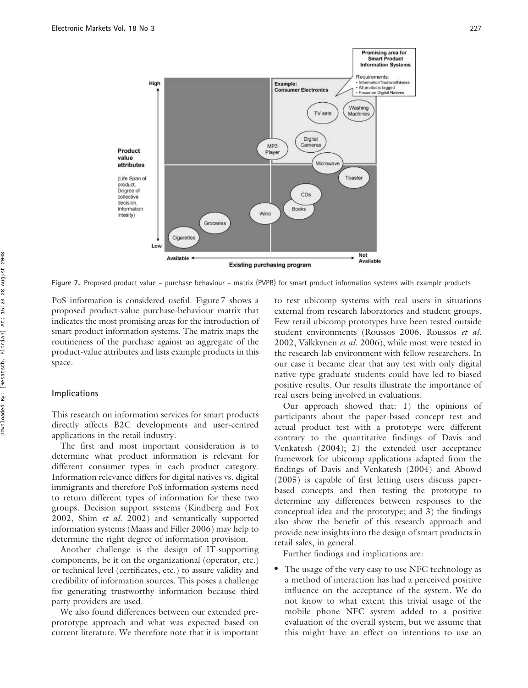

Figure 7. Proposed product value – purchase behaviour – matrix (PVPB) for smart product information systems with example products

PoS information is considered useful. Figure 7 shows a proposed product-value purchase-behaviour matrix that indicates the most promising areas for the introduction of smart product information systems. The matrix maps the routineness of the purchase against an aggregate of the product-value attributes and lists example products in this space.

#### Implications

This research on information services for smart products directly affects B2C developments and user-centred applications in the retail industry.

The first and most important consideration is to determine what product information is relevant for different consumer types in each product category. Information relevance differs for digital natives vs. digital immigrants and therefore PoS information systems need to return different types of information for these two groups. Decision support systems (Kindberg and Fox 2002, Shim et al. 2002) and semantically supported information systems (Maass and Filler 2006) may help to determine the right degree of information provision.

Another challenge is the design of IT-supporting components, be it on the organizational (operator, etc.) or technical level (certificates, etc.) to assure validity and credibility of information sources. This poses a challenge for generating trustworthy information because third party providers are used.

We also found differences between our extended preprototype approach and what was expected based on current literature. We therefore note that it is important to test ubicomp systems with real users in situations external from research laboratories and student groups. Few retail ubicomp prototypes have been tested outside student environments (Roussos 2006, Roussos et al. 2002, Välkkynen et al. 2006), while most were tested in the research lab environment with fellow researchers. In our case it became clear that any test with only digital native type graduate students could have led to biased positive results. Our results illustrate the importance of real users being involved in evaluations.

Our approach showed that: 1) the opinions of participants about the paper-based concept test and actual product test with a prototype were different contrary to the quantitative findings of Davis and Venkatesh (2004); 2) the extended user acceptance framework for ubicomp applications adapted from the findings of Davis and Venkatesh (2004) and Abowd (2005) is capable of first letting users discuss paperbased concepts and then testing the prototype to determine any differences between responses to the conceptual idea and the prototype; and 3) the findings also show the benefit of this research approach and provide new insights into the design of smart products in retail sales, in general.

Further findings and implications are:

• The usage of the very easy to use NFC technology as a method of interaction has had a perceived positive influence on the acceptance of the system. We do not know to what extent this trivial usage of the mobile phone NFC system added to a positive evaluation of the overall system, but we assume that this might have an effect on intentions to use an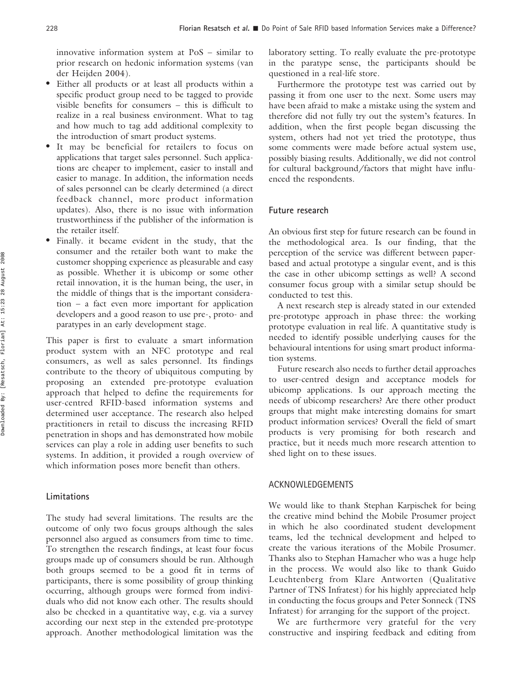innovative information system at PoS – similar to prior research on hedonic information systems (van der Heijden 2004).

- Either all products or at least all products within a specific product group need to be tagged to provide visible benefits for consumers – this is difficult to realize in a real business environment. What to tag and how much to tag add additional complexity to the introduction of smart product systems.
- It may be beneficial for retailers to focus on applications that target sales personnel. Such applications are cheaper to implement, easier to install and easier to manage. In addition, the information needs of sales personnel can be clearly determined (a direct feedback channel, more product information updates). Also, there is no issue with information trustworthiness if the publisher of the information is the retailer itself.
- Finally. it became evident in the study, that the consumer and the retailer both want to make the customer shopping experience as pleasurable and easy as possible. Whether it is ubicomp or some other retail innovation, it is the human being, the user, in the middle of things that is the important consideration – a fact even more important for application developers and a good reason to use pre-, proto- and paratypes in an early development stage.

This paper is first to evaluate a smart information product system with an NFC prototype and real consumers, as well as sales personnel. Its findings contribute to the theory of ubiquitous computing by proposing an extended pre-prototype evaluation approach that helped to define the requirements for user-centred RFID-based information systems and determined user acceptance. The research also helped practitioners in retail to discuss the increasing RFID penetration in shops and has demonstrated how mobile services can play a role in adding user benefits to such systems. In addition, it provided a rough overview of which information poses more benefit than others.

## Limitations

The study had several limitations. The results are the outcome of only two focus groups although the sales personnel also argued as consumers from time to time. To strengthen the research findings, at least four focus groups made up of consumers should be run. Although both groups seemed to be a good fit in terms of participants, there is some possibility of group thinking occurring, although groups were formed from individuals who did not know each other. The results should also be checked in a quantitative way, e.g. via a survey according our next step in the extended pre-prototype approach. Another methodological limitation was the

laboratory setting. To really evaluate the pre-prototype in the paratype sense, the participants should be questioned in a real-life store.

Furthermore the prototype test was carried out by passing it from one user to the next. Some users may have been afraid to make a mistake using the system and therefore did not fully try out the system's features. In addition, when the first people began discussing the system, others had not yet tried the prototype, thus some comments were made before actual system use, possibly biasing results. Additionally, we did not control for cultural background/factors that might have influenced the respondents.

#### Future research

An obvious first step for future research can be found in the methodological area. Is our finding, that the perception of the service was different between paperbased and actual prototype a singular event, and is this the case in other ubicomp settings as well? A second consumer focus group with a similar setup should be conducted to test this.

A next research step is already stated in our extended pre-prototype approach in phase three: the working prototype evaluation in real life. A quantitative study is needed to identify possible underlying causes for the behavioural intentions for using smart product information systems.

Future research also needs to further detail approaches to user-centred design and acceptance models for ubicomp applications. Is our approach meeting the needs of ubicomp researchers? Are there other product groups that might make interesting domains for smart product information services? Overall the field of smart products is very promising for both research and practice, but it needs much more research attention to shed light on to these issues.

## ACKNOWLEDGEMENTS

We would like to thank Stephan Karpischek for being the creative mind behind the Mobile Prosumer project in which he also coordinated student development teams, led the technical development and helped to create the various iterations of the Mobile Prosumer. Thanks also to Stephan Hamacher who was a huge help in the process. We would also like to thank Guido Leuchtenberg from Klare Antworten (Qualitative Partner of TNS Infratest) for his highly appreciated help in conducting the focus groups and Peter Sonneck (TNS Infratest) for arranging for the support of the project.

We are furthermore very grateful for the very constructive and inspiring feedback and editing from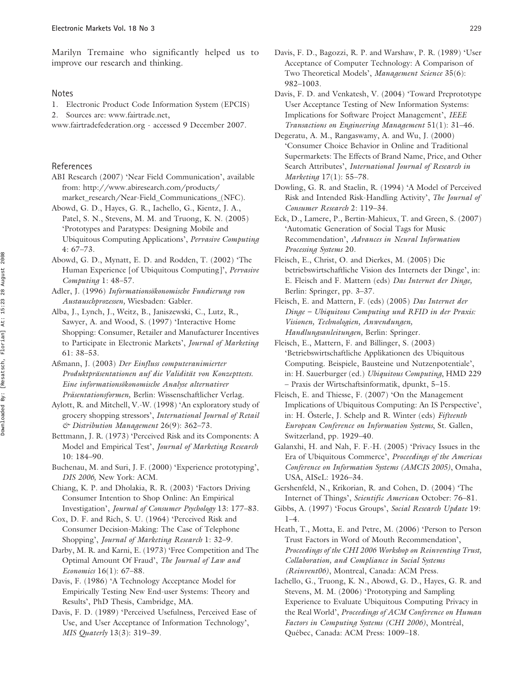Marilyn Tremaine who significantly helped us to improve our research and thinking.

#### Notes

1. Electronic Product Code Information System (EPCIS) 2. Sources are: www.fairtrade.net,

www.fairtradefederation.org - accessed 9 December 2007.

#### References

- ABI Research (2007) 'Near Field Communication', available from: http://www.abiresearch.com/products/ market\_research/Near-Field\_Communications (NFC).
- Abowd, G. D., Hayes, G. R., Iachello, G., Kientz, J. A., Patel, S. N., Stevens, M. M. and Truong, K. N. (2005) 'Prototypes and Paratypes: Designing Mobile and Ubiquitous Computing Applications', Pervasive Computing 4: 67–73.
- Abowd, G. D., Mynatt, E. D. and Rodden, T. (2002) 'The Human Experience [of Ubiquitous Computing]', Pervasive Computing 1: 48–57.
- Adler, J. (1996) Informationsökonomische Fundierung von Austauschprozessen, Wiesbaden: Gabler.
- Alba, J., Lynch, J., Weitz, B., Janiszewski, C., Lutz, R., Sawyer, A. and Wood, S. (1997) 'Interactive Home Shopping: Consumer, Retailer and Manufacturer Incentives to Participate in Electronic Markets', Journal of Marketing 61: 38–53.
- Aßmann, J. (2003) Der Einfluss computeranimierter Produktpräsentationen auf die Validität von Konzepttests. Eine informationsökonomische Analyse alternativer Präsentationsformen, Berlin: Wissenschaftlicher Verlag.
- Aylott, R. and Mitchell, V.-W. (1998) 'An exploratory study of grocery shopping stressors', International Journal of Retail & Distribution Management 26(9): 362–73.
- Bettmann, J. R. (1973) 'Perceived Risk and its Components: A Model and Empirical Test', Journal of Marketing Research 10: 184–90.
- Buchenau, M. and Suri, J. F. (2000) 'Experience prototyping', DIS 2006, New York: ACM.
- Chiang, K. P. and Dholakia, R. R. (2003) 'Factors Driving Consumer Intention to Shop Online: An Empirical Investigation', Journal of Consumer Psychology 13: 177–83.
- Cox, D. F. and Rich, S. U. (1964) 'Perceived Risk and Consumer Decision-Making: The Case of Telephone Shopping', Journal of Marketing Research 1: 32–9.
- Darby, M. R. and Karni, E. (1973) 'Free Competition and The Optimal Amount Of Fraud', The Journal of Law and Economics 16(1): 67–88.
- Davis, F. (1986) 'A Technology Acceptance Model for Empirically Testing New End-user Systems: Theory and Results', PhD Thesis, Cambridge, MA.
- Davis, F. D. (1989) 'Perceived Usefulness, Perceived Ease of Use, and User Acceptance of Information Technology', MIS Quaterly 13(3): 319–39.
- Davis, F. D., Bagozzi, R. P. and Warshaw, P. R. (1989) 'User Acceptance of Computer Technology: A Comparison of Two Theoretical Models', Management Science 35(6): 982–1003.
- Davis, F. D. and Venkatesh, V. (2004) 'Toward Preprototype User Acceptance Testing of New Information Systems: Implications for Software Project Management', IEEE Transactions on Engineering Management 51(1): 31–46.
- Degeratu, A. M., Rangaswamy, A. and Wu, J. (2000) 'Consumer Choice Behavior in Online and Traditional Supermarkets: The Effects of Brand Name, Price, and Other Search Attributes', International Journal of Research in Marketing 17(1): 55–78.
- Dowling, G. R. and Staelin, R. (1994) 'A Model of Perceived Risk and Intended Risk-Handling Activity', The Journal of Consumer Research 2: 119–34.
- Eck, D., Lamere, P., Bertin-Mahieux, T. and Green, S. (2007) 'Automatic Generation of Social Tags for Music Recommendation', Advances in Neural Information Processing Systems 20.
- Fleisch, E., Christ, O. and Dierkes, M. (2005) Die betriebswirtschaftliche Vision des Internets der Dinge', in: E. Fleisch and F. Mattern (eds) Das Internet der Dinge, Berlin: Springer, pp. 3–37.
- Fleisch, E. and Mattern, F. (eds) (2005) Das Internet der Dinge – Ubiquitous Computing und RFID in der Praxis: Visionen, Technologien, Anwendungen, Handlungsanleitungen, Berlin: Springer.
- Fleisch, E., Mattern, F. and Billinger, S. (2003) 'Betriebswirtschaftliche Applikationen des Ubiquitous Computing. Beispiele, Bausteine und Nutzenpotentiale', in: H. Sauerburger (ed.) Ubiquitous Computing, HMD 229 – Praxis der Wirtschaftsinformatik, dpunkt, 5–15.
- Fleisch, E. and Thiesse, F. (2007) 'On the Management Implications of Ubiquitous Computing: An IS Perspective', in: H. Österle, J. Schelp and R. Winter (eds) Fifteenth European Conference on Information Systems, St. Gallen, Switzerland, pp. 1929–40.
- Galanxhi, H. and Nah, F. F.-H. (2005) 'Privacy Issues in the Era of Ubiquitous Commerce', Proceedings of the Americas Conference on Information Systems (AMCIS 2005), Omaha, USA, AISeL: 1926–34.

Gershenfeld, N., Krikorian, R. and Cohen, D. (2004) 'The Internet of Things', Scientific American October: 76-81.

- Gibbs, A. (1997) 'Focus Groups', Social Research Update 19:  $1-4.$
- Heath, T., Motta, E. and Petre, M. (2006) 'Person to Person Trust Factors in Word of Mouth Recommendation', Proceedings of the CHI 2006 Workshop on Reinventing Trust, Collaboration, and Compliance in Social Systems (Reinvent06), Montreal, Canada: ACM Press.
- Iachello, G., Truong, K. N., Abowd, G. D., Hayes, G. R. and Stevens, M. M. (2006) 'Prototyping and Sampling Experience to Evaluate Ubiquitous Computing Privacy in the Real World', Proceedings of ACM Conference on Human Factors in Computing Systems (CHI 2006), Montréal, Québec, Canada: ACM Press: 1009-18.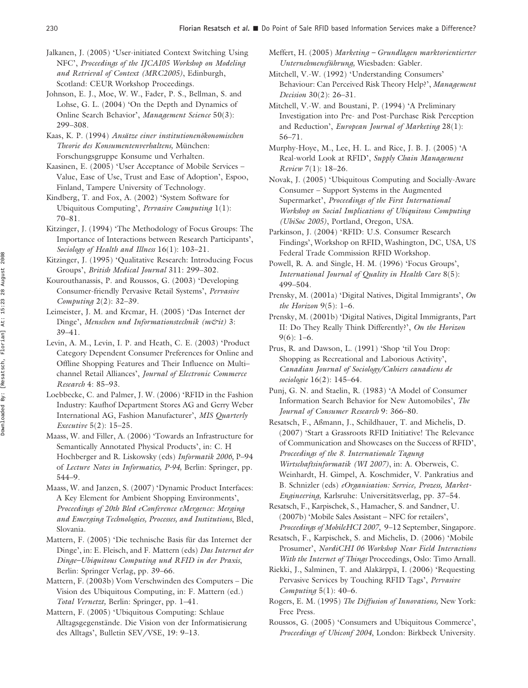- Jalkanen, J. (2005) 'User-initiated Context Switching Using NFC', Proceedings of the IJCAI05 Workshop on Modeling and Retrieval of Context (MRC2005), Edinburgh, Scotland: CEUR Workshop Proceedings.
- Johnson, E. J., Moe, W. W., Fader, P. S., Bellman, S. and Lohse, G. L. (2004) 'On the Depth and Dynamics of Online Search Behavior', Management Science 50(3): 299–308.
- Kaas, K. P. (1994) Ansätze einer institutionenökonomischen Theorie des Konsumentenverhaltens, München: Forschungsgruppe Konsume und Verhalten.
- Kaasinen, E. (2005) 'User Acceptance of Mobile Services Value, Ease of Use, Trust and Ease of Adoption', Espoo, Finland, Tampere University of Technology.
- Kindberg, T. and Fox, A. (2002) 'System Software for Ubiquitous Computing', Pervasive Computing 1(1): 70–81.
- Kitzinger, J. (1994) 'The Methodology of Focus Groups: The Importance of Interactions between Research Participants', Sociology of Health and Illness 16(1): 103-21.
- Kitzinger, J. (1995) 'Qualitative Research: Introducing Focus Groups', British Medical Journal 311: 299–302.
- Kourouthanassis, P. and Roussos, G. (2003) 'Developing Consumer-friendly Pervasive Retail Systems', Pervasive Computing 2(2): 32–39.
- Leimeister, J. M. and Krcmar, H. (2005) 'Das Internet der Dinge', Menschen und Informationstechnik (m&it) 3: 39–41.
- Levin, A. M., Levin, I. P. and Heath, C. E. (2003) 'Product Category Dependent Consumer Preferences for Online and Offline Shopping Features and Their Influence on Multi– channel Retail Alliances', Journal of Electronic Commerce Research 4: 85–93.
- Loebbecke, C. and Palmer, J. W. (2006) 'RFID in the Fashion Industry: Kaufhof Department Stores AG and Gerry Weber International AG, Fashion Manufacturer', MIS Quarterly Executive 5(2): 15–25.
- Maass, W. and Filler, A. (2006) 'Towards an Infrastructure for Semantically Annotated Physical Products', in: C. H Hochberger and R. Liskowsky (eds) Informatik 2006, P–94 of Lecture Notes in Informatics, P-94, Berlin: Springer, pp. 544–9.
- Maass, W. and Janzen, S. (2007) 'Dynamic Product Interfaces: A Key Element for Ambient Shopping Environments', Proceedings of 20th Bled eConference eMergence: Merging and Emerging Technologies, Processes, and Institutions, Bled, Slovania.
- Mattern, F. (2005) 'Die technische Basis für das Internet der Dinge', in: E. Fleisch, and F. Mattern (eds) Das Internet der Dinge–Ubiquitous Computing und RFID in der Praxis, Berlin: Springer Verlag, pp. 39–66.
- Mattern, F. (2003b) Vom Verschwinden des Computers Die Vision des Ubiquitous Computing, in: F. Mattern (ed.) Total Vernetzt, Berlin: Springer, pp. 1–41.
- Mattern, F. (2005) 'Ubiquitous Computing: Schlaue Alltagsgegenstände. Die Vision von der Informatisierung des Alltags', Bulletin SEV/VSE, 19: 9–13.

Meffert, H. (2005) Marketing – Grundlagen marktorientierter Unternehmensführung, Wiesbaden: Gabler.

Mitchell, V.-W. (1992) 'Understanding Consumers' Behaviour: Can Perceived Risk Theory Help?', Management Decision 30(2): 26–31.

- Mitchell, V.-W. and Boustani, P. (1994) 'A Preliminary Investigation into Pre- and Post-Purchase Risk Perception and Reduction', European Journal of Marketing 28(1): 56–71.
- Murphy-Hoye, M., Lee, H. L. and Rice, J. B. J. (2005) 'A Real-world Look at RFID', Supply Chain Management Review 7(1): 18–26.
- Novak, J. (2005) 'Ubiquitous Computing and Socially-Aware Consumer – Support Systems in the Augmented Supermarket', Proceedings of the First International Workshop on Social Implications of Ubiquitous Computing (UbiSoc 2005), Portland, Oregon, USA.
- Parkinson, J. (2004) 'RFID: U.S. Consumer Research Findings', Workshop on RFID, Washington, DC, USA, US Federal Trade Commission RFID Workshop.
- Powell, R. A. and Single, H. M. (1996) 'Focus Groups', International Journal of Quality in Health Care 8(5): 499–504.
- Prensky, M. (2001a) 'Digital Natives, Digital Immigrants', On the Horizon  $9(5)$ : 1–6.
- Prensky, M. (2001b) 'Digital Natives, Digital Immigrants, Part II: Do They Really Think Differently?', On the Horizon  $9(6)$ : 1–6.
- Prus, R. and Dawson, L. (1991) 'Shop 'til You Drop: Shopping as Recreational and Laborious Activity', Canadian Journal of Sociology/Cahiers canadiens de sociologie 16(2): 145-64.
- Punj, G. N. and Staelin, R. (1983) 'A Model of Consumer Information Search Behavior for New Automobiles', The Journal of Consumer Research 9: 366–80.
- Resatsch, F., Aßmann, J., Schildhauer, T. and Michelis, D. (2007) 'Start a Grassroots RFID Initiative! The Relevance of Communication and Showcases on the Success of RFID', Proceedings of the 8. Internationale Tagung Wirtschaftsinformatik (WI 2007), in: A. Oberweis, C. Weinhardt, H. Gimpel, A. Koschmider, V. Pankratius and B. Schnizler (eds) eOrganisation: Service, Prozess, Market-Engineering, Karlsruhe: Universitätsverlag, pp. 37-54.
- Resatsch, F., Karpischek, S., Hamacher, S. and Sandner, U. (2007b) 'Mobile Sales Assistant – NFC for retailers', Proceedings of MobileHCI 2007, 9-12 September, Singapore.
- Resatsch, F., Karpischek, S. and Michelis, D. (2006) 'Mobile Prosumer', NordiCHI 06 Workshop Near Field Interactions With the Internet of Things Proceedings, Oslo: Timo Arnall.
- Riekki, J., Salminen, T. and Alakärppä, I. (2006) 'Requesting Pervasive Services by Touching RFID Tags', Pervasive Computing 5(1): 40–6.
- Rogers, E. M. (1995) The Diffusion of Innovations, New York: Free Press.
- Roussos, G. (2005) 'Consumers and Ubiquitous Commerce', Proceedings of Ubiconf 2004, London: Birkbeck University.